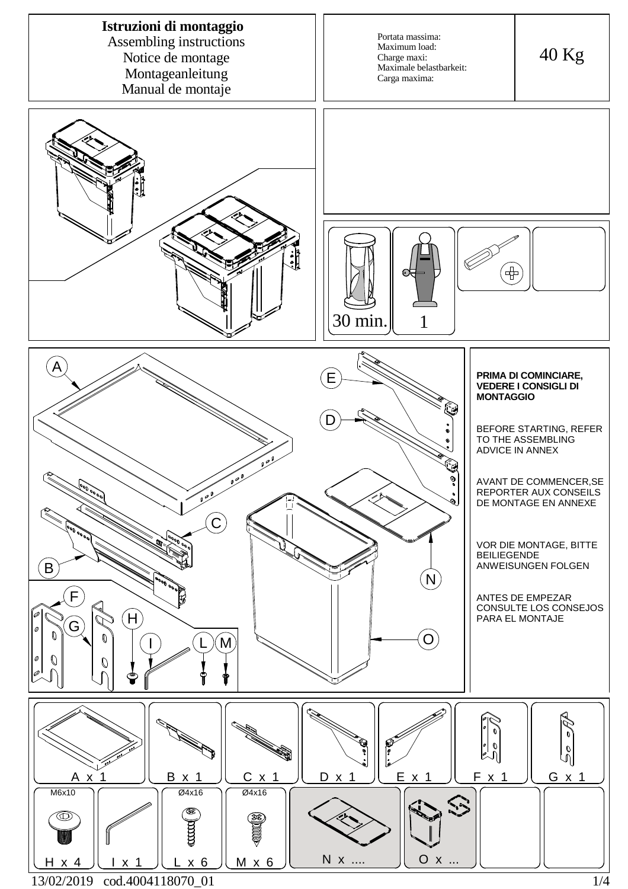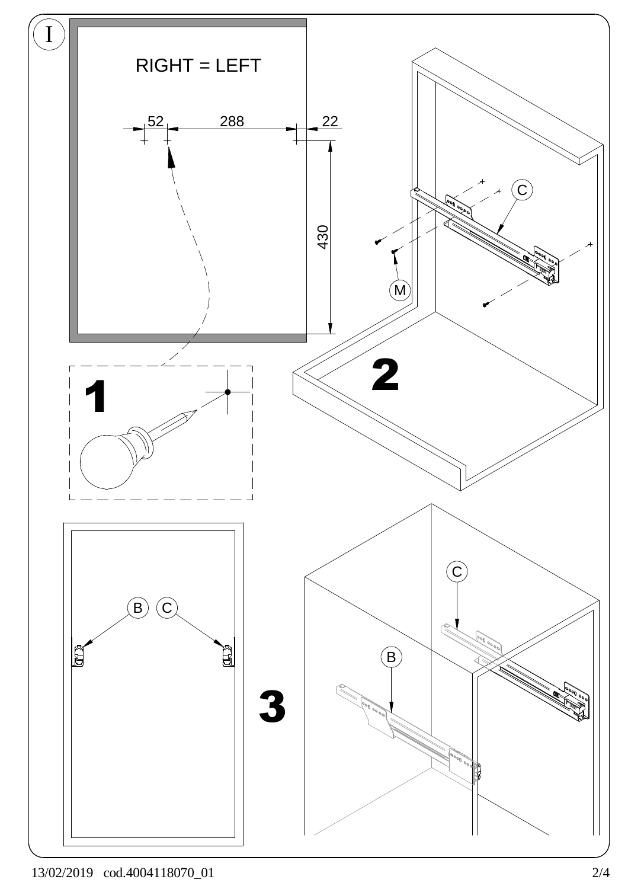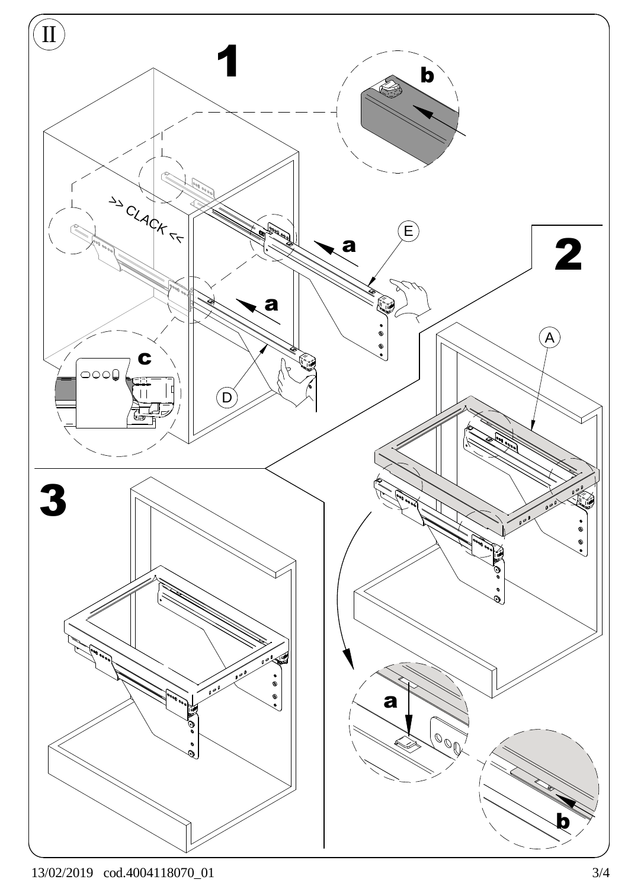